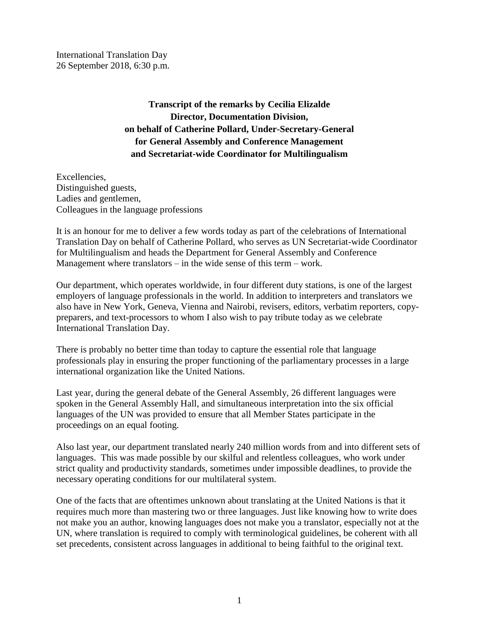International Translation Day 26 September 2018, 6:30 p.m.

> **Transcript of the remarks by Cecilia Elizalde Director, Documentation Division, on behalf of Catherine Pollard, Under-Secretary-General for General Assembly and Conference Management and Secretariat-wide Coordinator for Multilingualism**

Excellencies, Distinguished guests, Ladies and gentlemen, Colleagues in the language professions

It is an honour for me to deliver a few words today as part of the celebrations of International Translation Day on behalf of Catherine Pollard, who serves as UN Secretariat-wide Coordinator for Multilingualism and heads the Department for General Assembly and Conference Management where translators – in the wide sense of this term – work.

Our department, which operates worldwide, in four different duty stations, is one of the largest employers of language professionals in the world. In addition to interpreters and translators we also have in New York, Geneva, Vienna and Nairobi, revisers, editors, verbatim reporters, copypreparers, and text-processors to whom I also wish to pay tribute today as we celebrate International Translation Day.

There is probably no better time than today to capture the essential role that language professionals play in ensuring the proper functioning of the parliamentary processes in a large international organization like the United Nations.

Last year, during the general debate of the General Assembly, 26 different languages were spoken in the General Assembly Hall, and simultaneous interpretation into the six official languages of the UN was provided to ensure that all Member States participate in the proceedings on an equal footing.

Also last year, our department translated nearly 240 million words from and into different sets of languages. This was made possible by our skilful and relentless colleagues, who work under strict quality and productivity standards, sometimes under impossible deadlines, to provide the necessary operating conditions for our multilateral system.

One of the facts that are oftentimes unknown about translating at the United Nations is that it requires much more than mastering two or three languages. Just like knowing how to write does not make you an author, knowing languages does not make you a translator, especially not at the UN, where translation is required to comply with terminological guidelines, be coherent with all set precedents, consistent across languages in additional to being faithful to the original text.